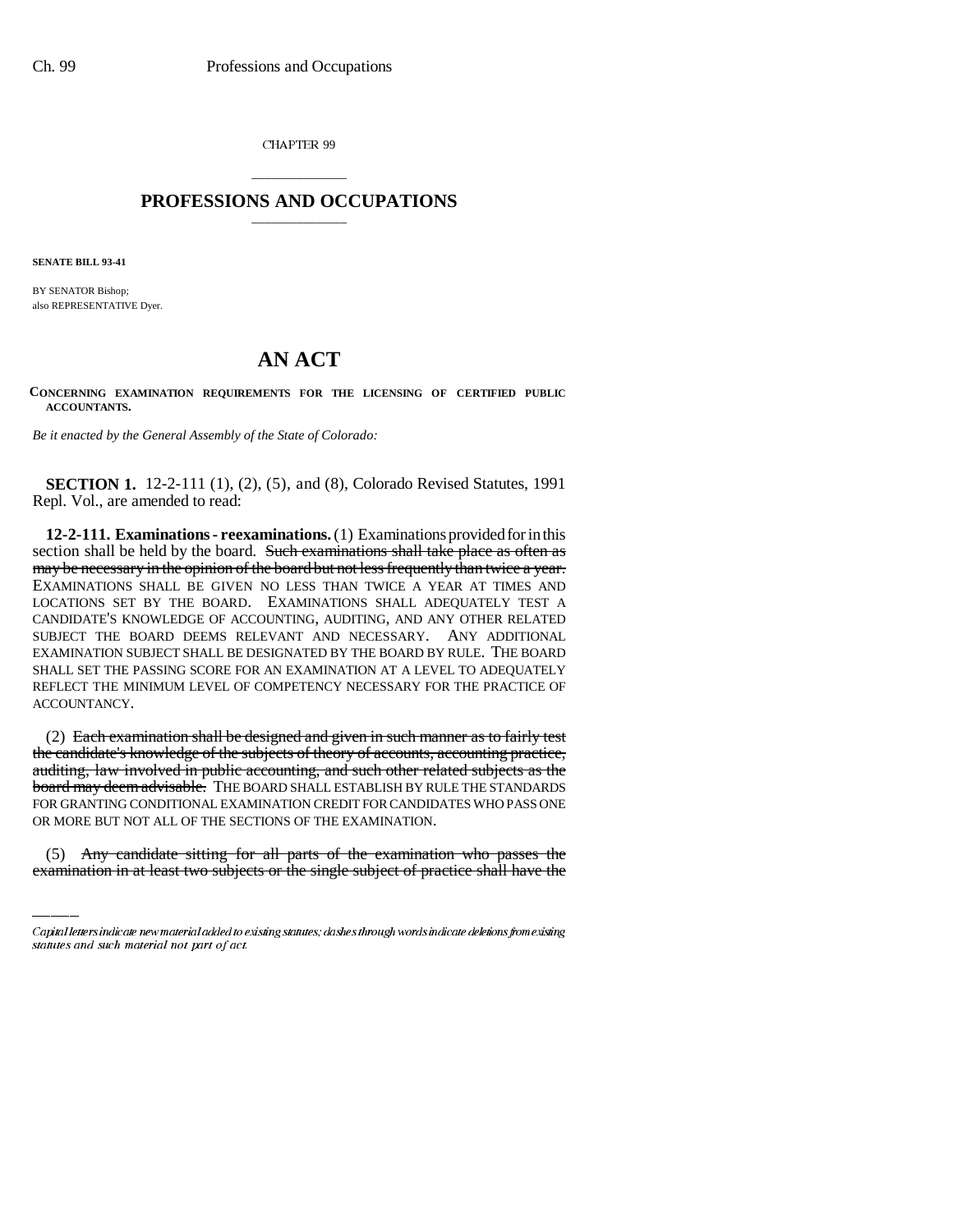CHAPTER 99

## \_\_\_\_\_\_\_\_\_\_\_\_\_\_\_ **PROFESSIONS AND OCCUPATIONS** \_\_\_\_\_\_\_\_\_\_\_\_\_\_\_

**SENATE BILL 93-41**

BY SENATOR Bishop; also REPRESENTATIVE Dyer.

## **AN ACT**

**CONCERNING EXAMINATION REQUIREMENTS FOR THE LICENSING OF CERTIFIED PUBLIC ACCOUNTANTS.**

*Be it enacted by the General Assembly of the State of Colorado:*

**SECTION 1.** 12-2-111 (1), (2), (5), and (8), Colorado Revised Statutes, 1991 Repl. Vol., are amended to read:

**12-2-111. Examinations - reexaminations.** (1) Examinations provided for in this section shall be held by the board. Such examinations shall take place as often as may be necessary in the opinion of the board but not less frequently than twice a year. EXAMINATIONS SHALL BE GIVEN NO LESS THAN TWICE A YEAR AT TIMES AND LOCATIONS SET BY THE BOARD. EXAMINATIONS SHALL ADEQUATELY TEST A CANDIDATE'S KNOWLEDGE OF ACCOUNTING, AUDITING, AND ANY OTHER RELATED SUBJECT THE BOARD DEEMS RELEVANT AND NECESSARY. ANY ADDITIONAL EXAMINATION SUBJECT SHALL BE DESIGNATED BY THE BOARD BY RULE. THE BOARD SHALL SET THE PASSING SCORE FOR AN EXAMINATION AT A LEVEL TO ADEQUATELY REFLECT THE MINIMUM LEVEL OF COMPETENCY NECESSARY FOR THE PRACTICE OF ACCOUNTANCY.

FOR GRANTING CONDITIONAL EXAMINATION CREDIT FOR CANDIDATES WHO PASS ONE (2) Each examination shall be designed and given in such manner as to fairly test the candidate's knowledge of the subjects of theory of accounts, accounting practice, auditing, law involved in public accounting, and such other related subjects as the board may deem advisable. THE BOARD SHALL ESTABLISH BY RULE THE STANDARDS OR MORE BUT NOT ALL OF THE SECTIONS OF THE EXAMINATION.

(5) Any candidate sitting for all parts of the examination who passes the examination in at least two subjects or the single subject of practice shall have the

Capital letters indicate new material added to existing statutes; dashes through words indicate deletions from existing statutes and such material not part of act.